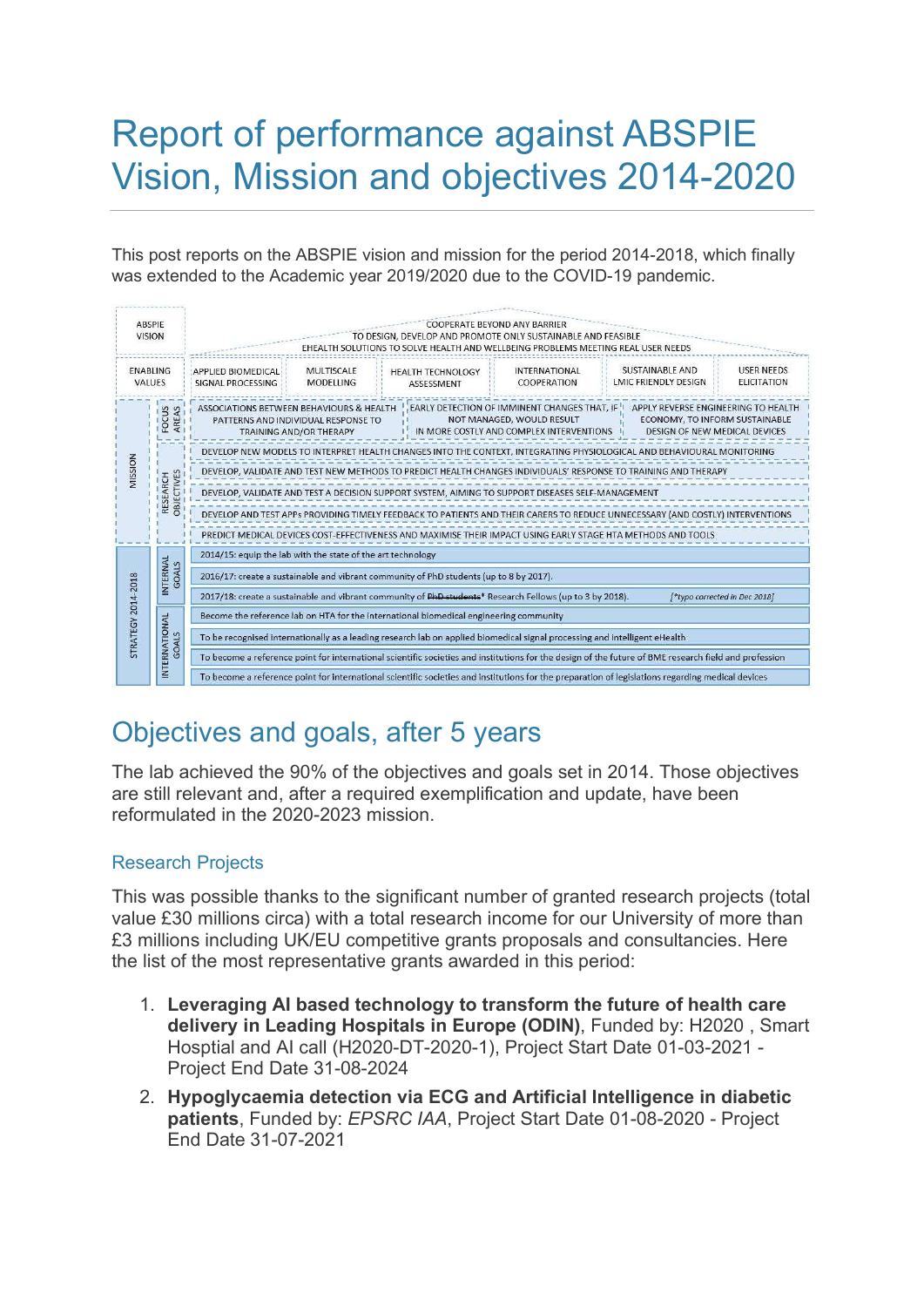# Report of performance against ABSPIE Vision, Mission and objectives 2014-2020

This post reports on the ABSPIE vision and mission for the period 2014-2018, which finally was extended to the Academic year 2019/2020 due to the COVID-19 pandemic.

| <b>ABSPIE</b><br><b>VISION</b> |                        | COOPERATE BEYOND ANY BARRIER<br>TO DESIGN. DEVELOP AND PROMOTE ONLY SUSTAINABLE AND FEASIBLE<br>EHEALTH SOLUTIONS TO SOLVE HEALTH AND WELLBEING PROBLEMS MEETING REAL USER NEEDS                                                                                                                                                                     |                                       |                                        |                                     |                                                |                                         |
|--------------------------------|------------------------|------------------------------------------------------------------------------------------------------------------------------------------------------------------------------------------------------------------------------------------------------------------------------------------------------------------------------------------------------|---------------------------------------|----------------------------------------|-------------------------------------|------------------------------------------------|-----------------------------------------|
| <b>FNABLING</b><br>VALUES      |                        | APPLIED BIOMEDICAL<br>SIGNAL PROCESSING                                                                                                                                                                                                                                                                                                              | <b>MULTISCALE</b><br><b>MODELLING</b> | <b>HEALTH TECHNOLOGY</b><br>ASSESSMENT | <b>INTERNATIONAL</b><br>COOPERATION | SUSTAINABLE AND<br><b>LMIC FRIENDLY DESIGN</b> | <b>USER NEEDS</b><br><b>ELICITATION</b> |
| MISSION                        | FOCUS<br>AREAS         | EARLY DETECTION OF IMMINENT CHANGES THAT. IF<br>APPLY REVERSE ENGINEERING TO HEALTH<br>ASSOCIATIONS BETWEEN BEHAVIOURS & HEALTH<br>NOT MANAGED, WOULD RESULT<br>ECONOMY, TO INFORM SUSTAINABLE<br>PATTERNS AND INDIVIDUAL RESPONSE TO<br>IN MORE COSTLY AND COMPLEX INTERVENTIONS<br>DESIGN OF NEW MEDICAL DEVICES<br><b>TRAINING AND/OR THERAPY</b> |                                       |                                        |                                     |                                                |                                         |
|                                | RESEARCH<br>OBJECTIVES | DEVELOP NEW MODELS TO INTERPRET HEALTH CHANGES INTO THE CONTEXT, INTEGRATING PHYSIOLOGICAL AND BEHAVIOURAL MONITORING                                                                                                                                                                                                                                |                                       |                                        |                                     |                                                |                                         |
|                                |                        | DEVELOP, VALIDATE AND TEST NEW METHODS TO PREDICT HEALTH CHANGES INDIVIDUALS' RESPONSE TO TRAINING AND THERAPY                                                                                                                                                                                                                                       |                                       |                                        |                                     |                                                |                                         |
|                                |                        | DEVELOP, VALIDATE AND TEST A DECISION SUPPORT SYSTEM, AIMING TO SUPPORT DISEASES SELF-MANAGEMENT                                                                                                                                                                                                                                                     |                                       |                                        |                                     |                                                |                                         |
|                                |                        | DEVELOP AND TEST APPs PROVIDING TIMELY FEEDBACK TO PATIENTS AND THEIR CARERS TO REDUCE UNNECESSARY (AND COSTLY) INTERVENTIONS                                                                                                                                                                                                                        |                                       |                                        |                                     |                                                |                                         |
|                                |                        | PREDICT MEDICAL DEVICES COST-EFFECTIVENESS AND MAXIMISE THEIR IMPACT USING EARLY STAGE HTA METHODS AND TOOLS                                                                                                                                                                                                                                         |                                       |                                        |                                     |                                                |                                         |
| <b>STRATEGY 2014-2018</b>      | INTERNAL<br>GOALS      | 2014/15: equip the lab with the state of the art technology                                                                                                                                                                                                                                                                                          |                                       |                                        |                                     |                                                |                                         |
|                                |                        | 2016/17: create a sustainable and vibrant community of PhD students (up to 8 by 2017).                                                                                                                                                                                                                                                               |                                       |                                        |                                     |                                                |                                         |
|                                |                        | 2017/18: create a sustainable and vibrant community of PhD students* Research Fellows (up to 3 by 2018).<br>[*typo corrected in Dec 2018]                                                                                                                                                                                                            |                                       |                                        |                                     |                                                |                                         |
|                                | INTERNATIONAL<br>GOALS | Become the reference lab on HTA for the international biomedical engineering community                                                                                                                                                                                                                                                               |                                       |                                        |                                     |                                                |                                         |
|                                |                        | To be recognised internationally as a leading research lab on applied biomedical signal processing and intelligent eHealth                                                                                                                                                                                                                           |                                       |                                        |                                     |                                                |                                         |
|                                |                        | To become a reference point for international scientific societies and institutions for the design of the future of BME research field and profession                                                                                                                                                                                                |                                       |                                        |                                     |                                                |                                         |
|                                |                        | To become a reference point for international scientific societies and institutions for the preparation of legislations regarding medical devices                                                                                                                                                                                                    |                                       |                                        |                                     |                                                |                                         |

## Objectives and goals, after 5 years

The lab achieved the 90% of the objectives and goals set in 2014. Those objectives are still relevant and, after a required exemplification and update, have been reformulated in the 2020-2023 mission.

### Research Projects

This was possible thanks to the significant number of granted research projects (total value £30 millions circa) with a total research income for our University of more than £3 millions including UK/EU competitive grants proposals and consultancies. Here the list of the most representative grants awarded in this period:

- 1. Leveraging AI based technology to transform the future of health care delivery in Leading Hospitals in Europe (ODIN), Funded by: H2020 , Smart Hosptial and AI call (H2020-DT-2020-1), Project Start Date 01-03-2021 - Project End Date 31-08-2024
- 2. Hypoglycaemia detection via ECG and Artificial Intelligence in diabetic patients, Funded by: EPSRC IAA, Project Start Date 01-08-2020 - Project End Date 31-07-2021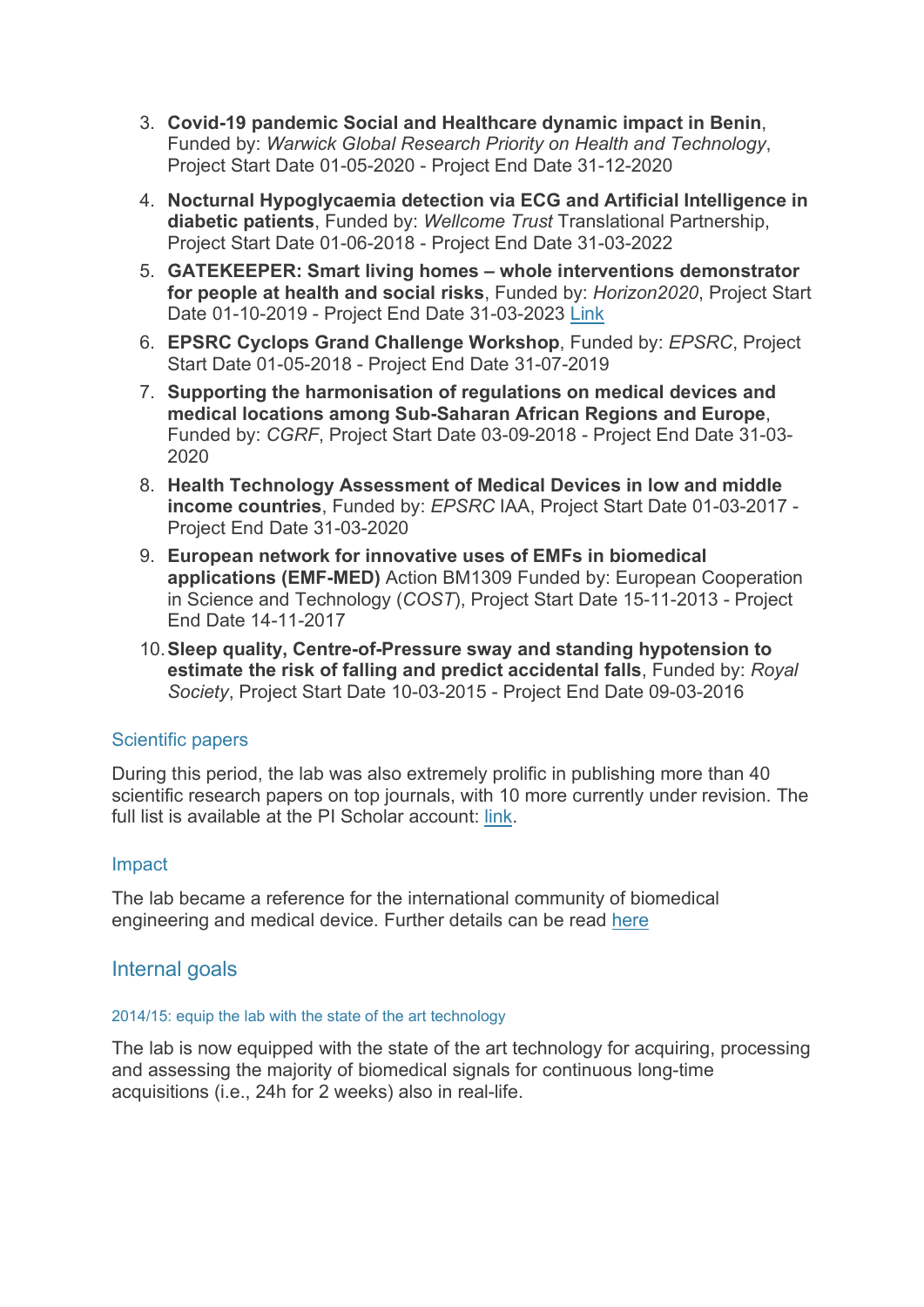- 3. Covid-19 pandemic Social and Healthcare dynamic impact in Benin, Funded by: Warwick Global Research Priority on Health and Technology, Project Start Date 01-05-2020 - Project End Date 31-12-2020
- 4. Nocturnal Hypoglycaemia detection via ECG and Artificial Intelligence in diabetic patients, Funded by: Wellcome Trust Translational Partnership, Project Start Date 01-06-2018 - Project End Date 31-03-2022
- 5. GATEKEEPER: Smart living homes whole interventions demonstrator for people at health and social risks, Funded by: Horizon2020, Project Start Date 01-10-2019 - Project End Date 31-03-2023 Link
- 6. EPSRC Cyclops Grand Challenge Workshop, Funded by: EPSRC, Project Start Date 01-05-2018 - Project End Date 31-07-2019
- 7. Supporting the harmonisation of regulations on medical devices and medical locations among Sub-Saharan African Regions and Europe, Funded by: CGRF, Project Start Date 03-09-2018 - Project End Date 31-03- 2020
- 8. Health Technology Assessment of Medical Devices in low and middle income countries, Funded by: EPSRC IAA, Project Start Date 01-03-2017 - Project End Date 31-03-2020
- 9. European network for innovative uses of EMFs in biomedical applications (EMF-MED) Action BM1309 Funded by: European Cooperation in Science and Technology (COST), Project Start Date 15-11-2013 - Project End Date 14-11-2017
- 10. Sleep quality, Centre-of-Pressure sway and standing hypotension to estimate the risk of falling and predict accidental falls, Funded by: Royal Society, Project Start Date 10-03-2015 - Project End Date 09-03-2016

#### Scientific papers

During this period, the lab was also extremely prolific in publishing more than 40 scientific research papers on top journals, with 10 more currently under revision. The full list is available at the PI Scholar account: link.

#### Impact

The lab became a reference for the international community of biomedical engineering and medical device. Further details can be read here

#### Internal goals

#### 2014/15: equip the lab with the state of the art technology

The lab is now equipped with the state of the art technology for acquiring, processing and assessing the majority of biomedical signals for continuous long-time acquisitions (i.e., 24h for 2 weeks) also in real-life.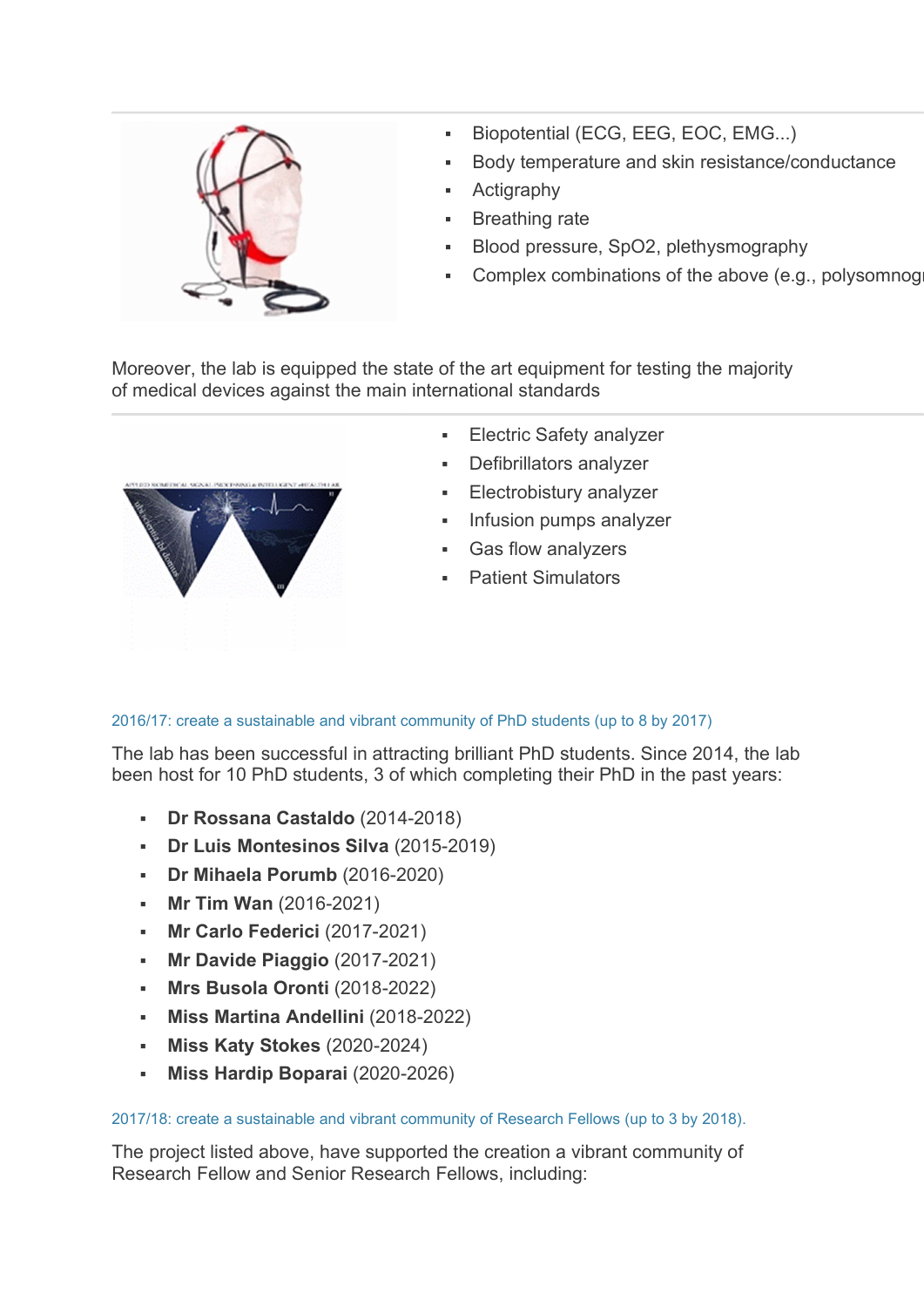

- Biopotential (ECG, EEG, EOC, EMG...)
- Body temperature and skin resistance/conductance
- Actigraphy
- Breathing rate
- Blood pressure, SpO2, plethysmography
- Complex combinations of the above (e.g., polysomnog

Moreover, the lab is equipped the state of the art equipment for testing the majority of medical devices against the main international standards



- Electric Safety analyzer
- Defibrillators analyzer
- Electrobistury analyzer
- Infusion pumps analyzer
- Gas flow analyzers
- Patient Simulators

2016/17: create a sustainable and vibrant community of PhD students (up to 8 by 2017)

The lab has been successful in attracting brilliant PhD students. Since 2014, the lab been host for 10 PhD students, 3 of which completing their PhD in the past years:

- Dr Rossana Castaldo (2014-2018)
- Dr Luis Montesinos Silva (2015-2019)
- Dr Mihaela Porumb (2016-2020)
- Mr Tim Wan (2016-2021)
- **Mr Carlo Federici (2017-2021)**
- **Mr Davide Piaggio (2017-2021)**
- Mrs Busola Oronti (2018-2022)
- Miss Martina Andellini (2018-2022)
- **Miss Katy Stokes (2020-2024)**
- Miss Hardip Boparai (2020-2026)

#### 2017/18: create a sustainable and vibrant community of Research Fellows (up to 3 by 2018).

The project listed above, have supported the creation a vibrant community of Research Fellow and Senior Research Fellows, including: